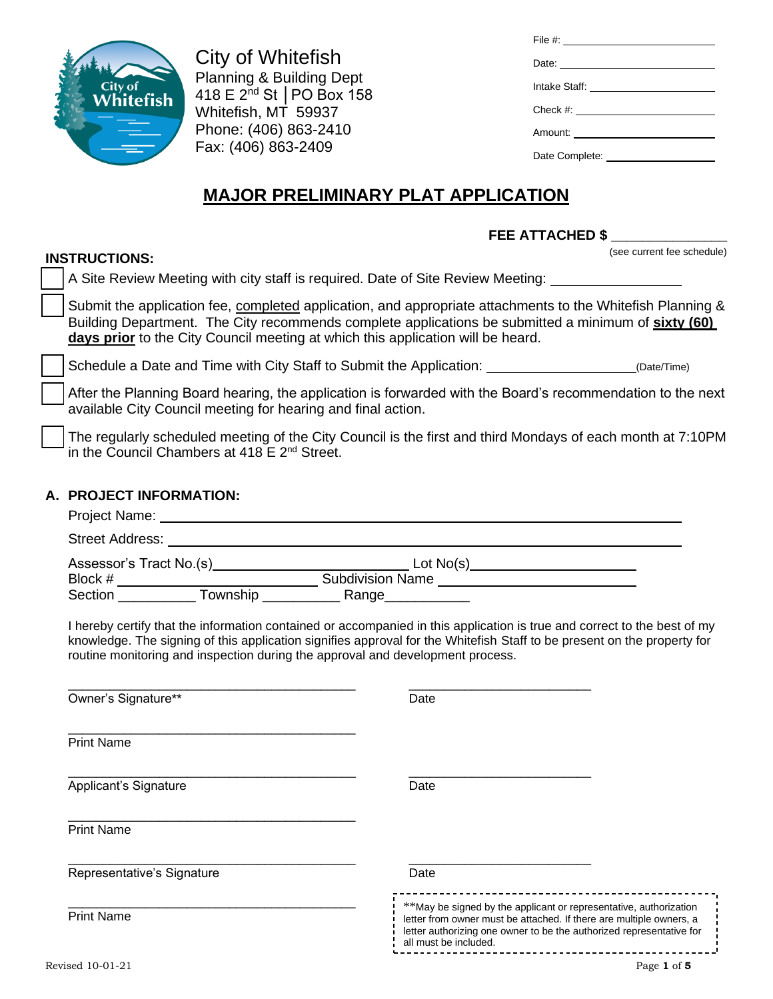

**INSTRUCTIONS:**

City of Whitefish Planning & Building Dept 418 E 2nd St │PO Box 158 Whitefish, MT 59937 Phone: (406) 863-2410 Fax: (406) 863-2409

| File #: $\frac{1}{2}$ = $\frac{1}{2}$ = $\frac{1}{2}$ = $\frac{1}{2}$ = $\frac{1}{2}$ = $\frac{1}{2}$ = $\frac{1}{2}$ = $\frac{1}{2}$ = $\frac{1}{2}$ = $\frac{1}{2}$ = $\frac{1}{2}$ = $\frac{1}{2}$ = $\frac{1}{2}$ = $\frac{1}{2}$ = $\frac{1}{2}$ = $\frac{1}{2}$ = $\frac{1}{2}$ = $\frac{1}{2}$ |
|-------------------------------------------------------------------------------------------------------------------------------------------------------------------------------------------------------------------------------------------------------------------------------------------------------|
|                                                                                                                                                                                                                                                                                                       |
|                                                                                                                                                                                                                                                                                                       |
|                                                                                                                                                                                                                                                                                                       |
| Amount: _________________________                                                                                                                                                                                                                                                                     |
|                                                                                                                                                                                                                                                                                                       |

# **MAJOR PRELIMINARY PLAT APPLICATION**

# **FEE ATTACHED \$ \_\_\_\_\_\_\_\_\_\_\_\_\_\_\_**

(see current fee schedule)

|  | A Site Review Meeting with city staff is required. Date of Site Review Meeting: |  |  |
|--|---------------------------------------------------------------------------------|--|--|
|--|---------------------------------------------------------------------------------|--|--|

Submit the application fee, completed application, and appropriate attachments to the Whitefish Planning & Building Department. The City recommends complete applications be submitted a minimum of **sixty (60) days prior** to the City Council meeting at which this application will be heard.

❑ Schedule a Date and Time with City Staff to Submit the Application: (Date/Time)

❑ After the Planning Board hearing, the application is forwarded with the Board's recommendation to the next available City Council meeting for hearing and final action.

The regularly scheduled meeting of the City Council is the first and third Mondays of each month at 7:10PM in the Council Chambers at 418 E 2<sup>nd</sup> Street.

## **A. PROJECT INFORMATION:**

| Project Name:           |                         |  |
|-------------------------|-------------------------|--|
| <b>Street Address:</b>  |                         |  |
| Assessor's Tract No.(s) | Lot $No(s)$             |  |
| Block #                 | <b>Subdivision Name</b> |  |
| Section<br>Township     | Range                   |  |

I hereby certify that the information contained or accompanied in this application is true and correct to the best of my knowledge. The signing of this application signifies approval for the Whitefish Staff to be present on the property for routine monitoring and inspection during the approval and development process.

| Owner's Signature**        | Date                                                                                                                                                                                                                                      |
|----------------------------|-------------------------------------------------------------------------------------------------------------------------------------------------------------------------------------------------------------------------------------------|
| <b>Print Name</b>          |                                                                                                                                                                                                                                           |
| Applicant's Signature      | Date                                                                                                                                                                                                                                      |
| <b>Print Name</b>          |                                                                                                                                                                                                                                           |
| Representative's Signature | Date                                                                                                                                                                                                                                      |
| <b>Print Name</b>          | **May be signed by the applicant or representative, authorization<br>letter from owner must be attached. If there are multiple owners, a<br>letter authorizing one owner to be the authorized representative for<br>all must be included. |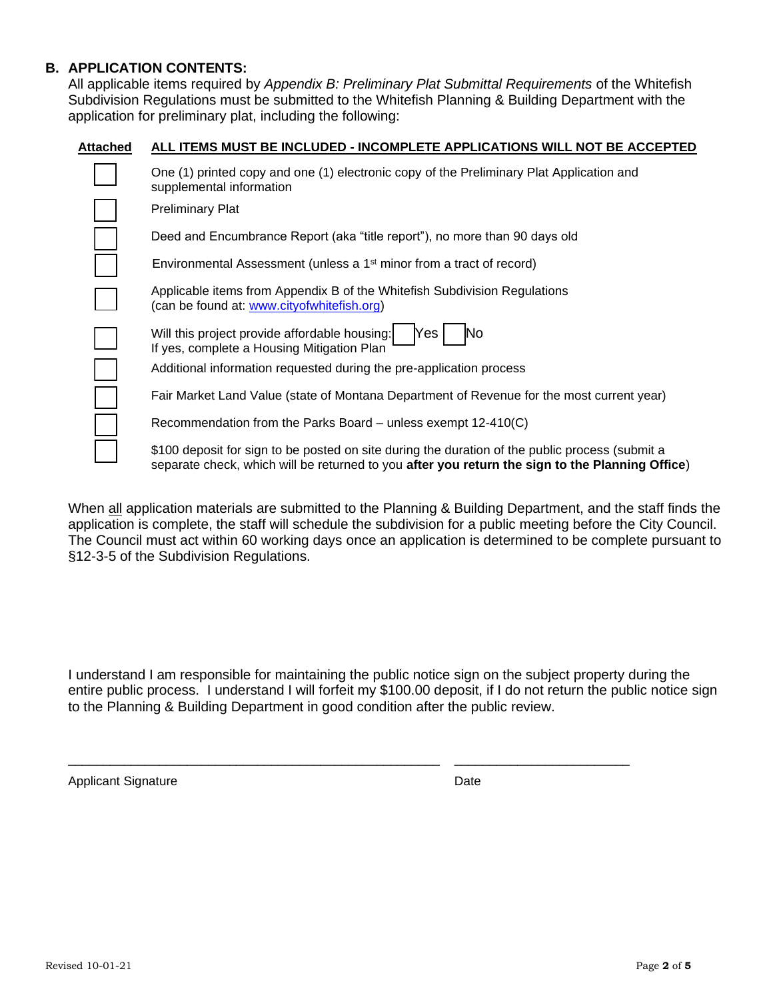## **B. APPLICATION CONTENTS:**

All applicable items required by *Appendix B: Preliminary Plat Submittal Requirements* of the Whitefish Subdivision Regulations must be submitted to the Whitefish Planning & Building Department with the application for preliminary plat, including the following:

#### **Attached ALL ITEMS MUST BE INCLUDED - INCOMPLETE APPLICATIONS WILL NOT BE ACCEPTED**

| One (1) printed copy and one (1) electronic copy of the Preliminary Plat Application and<br>supplemental information                                                                               |
|----------------------------------------------------------------------------------------------------------------------------------------------------------------------------------------------------|
| <b>Preliminary Plat</b>                                                                                                                                                                            |
| Deed and Encumbrance Report (aka "title report"), no more than 90 days old                                                                                                                         |
| Environmental Assessment (unless a 1 <sup>st</sup> minor from a tract of record)                                                                                                                   |
| Applicable items from Appendix B of the Whitefish Subdivision Regulations<br>(can be found at: www.cityofwhitefish.org)                                                                            |
| Will this project provide affordable housing:<br>Yes<br>No<br>If yes, complete a Housing Mitigation Plan                                                                                           |
| Additional information requested during the pre-application process                                                                                                                                |
| Fair Market Land Value (state of Montana Department of Revenue for the most current year)                                                                                                          |
| Recommendation from the Parks Board – unless exempt 12-410(C)                                                                                                                                      |
| \$100 deposit for sign to be posted on site during the duration of the public process (submit a<br>separate check, which will be returned to you after you return the sign to the Planning Office) |

When all application materials are submitted to the Planning & Building Department, and the staff finds the application is complete, the staff will schedule the subdivision for a public meeting before the City Council. The Council must act within 60 working days once an application is determined to be complete pursuant to §12-3-5 of the Subdivision Regulations.

I understand I am responsible for maintaining the public notice sign on the subject property during the entire public process. I understand I will forfeit my \$100.00 deposit, if I do not return the public notice sign to the Planning & Building Department in good condition after the public review.

\_\_\_\_\_\_\_\_\_\_\_\_\_\_\_\_\_\_\_\_\_\_\_\_\_\_\_\_\_\_\_\_\_\_\_\_\_\_\_\_\_\_\_\_\_\_\_\_\_\_\_\_\_ \_\_\_\_\_\_\_\_\_\_\_\_\_\_\_\_\_\_\_\_\_\_\_\_\_

Applicant Signature Date Date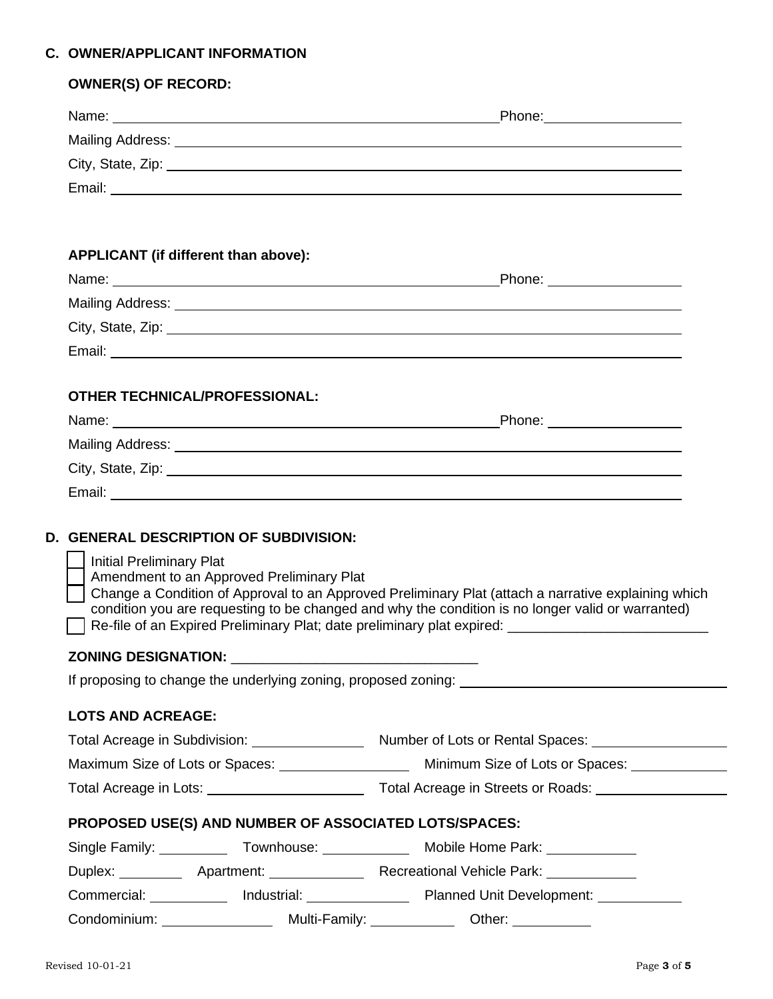## **C. OWNER/APPLICANT INFORMATION**

| <b>OWNER(S) OF RECORD:</b>                            |                                               |                                                                                                                                                                                                                               |  |
|-------------------------------------------------------|-----------------------------------------------|-------------------------------------------------------------------------------------------------------------------------------------------------------------------------------------------------------------------------------|--|
|                                                       |                                               | Name: Name: Name: Name: Name: Name: Name: Name: Name: Name: Name: Name: Name: Name: Name: Name: Name: Name: Name: Name: Name: Name: Name: Name: Name: Name: Name: Name: Name: Name: Name: Name: Name: Name: Name: Name: Name: |  |
|                                                       |                                               |                                                                                                                                                                                                                               |  |
|                                                       |                                               | City, State, Zip: 2008. City, State, 2008. City, State, 2008. City, State, 2008.                                                                                                                                              |  |
|                                                       |                                               |                                                                                                                                                                                                                               |  |
|                                                       |                                               |                                                                                                                                                                                                                               |  |
| APPLICANT (if different than above):                  |                                               |                                                                                                                                                                                                                               |  |
|                                                       |                                               |                                                                                                                                                                                                                               |  |
|                                                       |                                               |                                                                                                                                                                                                                               |  |
|                                                       |                                               |                                                                                                                                                                                                                               |  |
|                                                       |                                               |                                                                                                                                                                                                                               |  |
| <b>OTHER TECHNICAL/PROFESSIONAL:</b>                  |                                               |                                                                                                                                                                                                                               |  |
|                                                       |                                               |                                                                                                                                                                                                                               |  |
|                                                       |                                               |                                                                                                                                                                                                                               |  |
|                                                       |                                               |                                                                                                                                                                                                                               |  |
|                                                       |                                               |                                                                                                                                                                                                                               |  |
|                                                       |                                               |                                                                                                                                                                                                                               |  |
|                                                       | <b>D. GENERAL DESCRIPTION OF SUBDIVISION:</b> |                                                                                                                                                                                                                               |  |
| <b>Initial Preliminary Plat</b>                       |                                               |                                                                                                                                                                                                                               |  |
|                                                       | Amendment to an Approved Preliminary Plat     |                                                                                                                                                                                                                               |  |
|                                                       |                                               | Change a Condition of Approval to an Approved Preliminary Plat (attach a narrative explaining which<br>condition you are requesting to be changed and why the condition is no longer valid or warranted)                      |  |
|                                                       |                                               | Re-file of an Expired Preliminary Plat; date preliminary plat expired: ____________________________                                                                                                                           |  |
|                                                       |                                               |                                                                                                                                                                                                                               |  |
|                                                       |                                               | If proposing to change the underlying zoning, proposed zoning:                                                                                                                                                                |  |
| <b>LOTS AND ACREAGE:</b>                              |                                               |                                                                                                                                                                                                                               |  |
|                                                       |                                               |                                                                                                                                                                                                                               |  |
|                                                       |                                               |                                                                                                                                                                                                                               |  |
|                                                       |                                               |                                                                                                                                                                                                                               |  |
| PROPOSED USE(S) AND NUMBER OF ASSOCIATED LOTS/SPACES: |                                               |                                                                                                                                                                                                                               |  |
|                                                       |                                               | Single Family: _____________ Townhouse: ________________ Mobile Home Park: ____________                                                                                                                                       |  |
|                                                       |                                               |                                                                                                                                                                                                                               |  |
|                                                       |                                               |                                                                                                                                                                                                                               |  |
|                                                       |                                               |                                                                                                                                                                                                                               |  |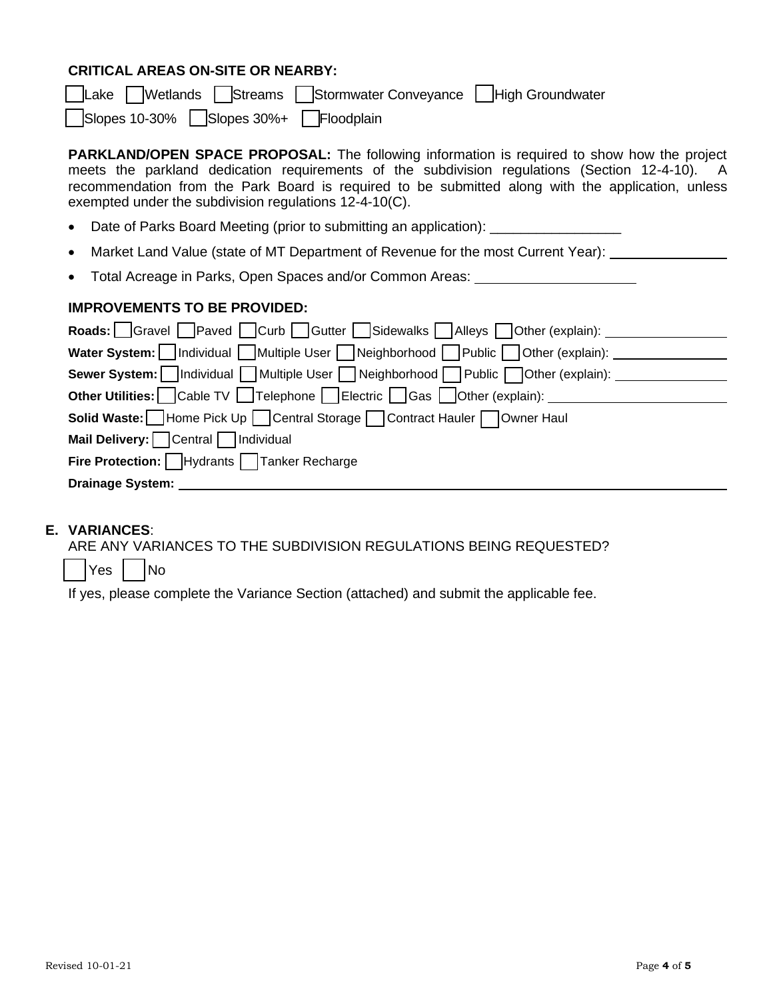# **CRITICAL AREAS ON-SITE OR NEARBY:**

| Lake   Wetlands   Streams   Stormwater Conveyance   High Groundwater                                                                                                                                                                                                                                                                                                |
|---------------------------------------------------------------------------------------------------------------------------------------------------------------------------------------------------------------------------------------------------------------------------------------------------------------------------------------------------------------------|
| $\vert$ Slopes 10-30% $\vert$ Slopes 30%+ Floodplain                                                                                                                                                                                                                                                                                                                |
| <b>PARKLAND/OPEN SPACE PROPOSAL:</b> The following information is required to show how the project<br>meets the parkland dedication requirements of the subdivision regulations (Section 12-4-10). A<br>recommendation from the Park Board is required to be submitted along with the application, unless<br>exempted under the subdivision regulations 12-4-10(C). |
| Date of Parks Board Meeting (prior to submitting an application): ______________<br>$\bullet$                                                                                                                                                                                                                                                                       |
| Market Land Value (state of MT Department of Revenue for the most Current Year):<br>$\bullet$                                                                                                                                                                                                                                                                       |
| Total Acreage in Parks, Open Spaces and/or Common Areas: _______________________                                                                                                                                                                                                                                                                                    |
| <b>IMPROVEMENTS TO BE PROVIDED:</b>                                                                                                                                                                                                                                                                                                                                 |
| Roads: Gravel Paved Curb Gutter Sidewalks Alleys Other (explain):                                                                                                                                                                                                                                                                                                   |
| Water System: Individual Multiple User Neighborhood Public Other (explain): ___________                                                                                                                                                                                                                                                                             |
| Sewer System:   Individual Multiple User Neighborhood Public Other (explain): _____________________                                                                                                                                                                                                                                                                 |
| <b>Other Utilities:</b> Cable TV   Telephone   Electric   Gas   Other (explain): _ _ _ _ _ _ _ _ _ _ _ _ _ _ _ _ _ _                                                                                                                                                                                                                                                |
| <b>Solid Waste:</b> Home Pick Up Central Storage Contract Hauler Owner Haul                                                                                                                                                                                                                                                                                         |
| Mail Delivery: Central   Individual                                                                                                                                                                                                                                                                                                                                 |
|                                                                                                                                                                                                                                                                                                                                                                     |
| <b>Fire Protection:</b>   Hydrants   Tanker Recharge                                                                                                                                                                                                                                                                                                                |

## **E. VARIANCES**:

ARE ANY VARIANCES TO THE SUBDIVISION REGULATIONS BEING REQUESTED?

Yes | No

If yes, please complete the Variance Section (attached) and submit the applicable fee.